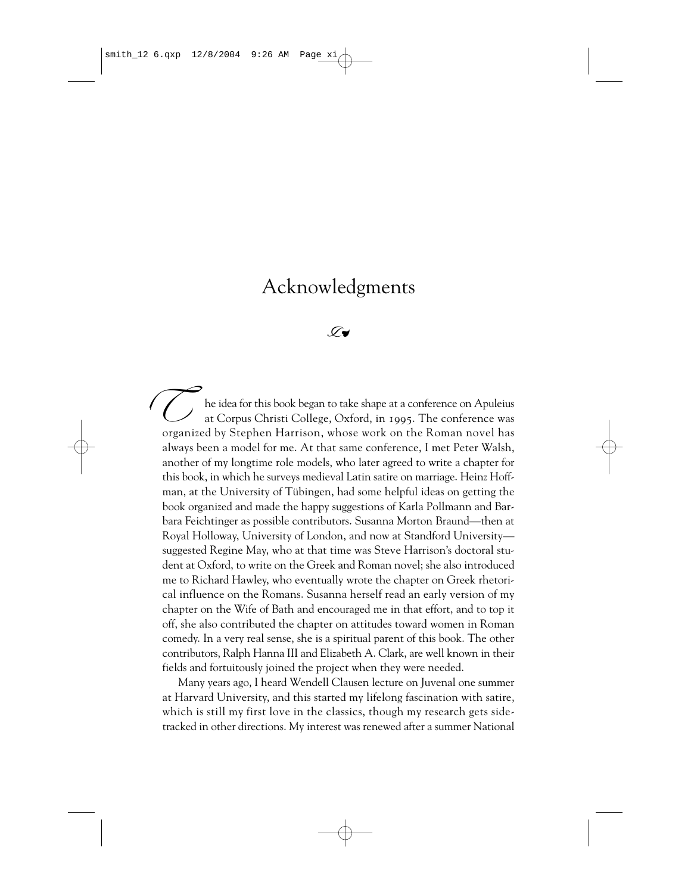## Acknowledgments

 $\mathscr{I}_{\bullet}$ 

he idea for this book began to take shape at a conference on Apuleius at Corpus Christi College, Oxford, in 1995. The conference was The idea for this book began to take shape at a conference on Apuleius at Corpus Christi College, Oxford, in 1995. The conference was organized by Stephen Harrison, whose work on the Roman novel has always been a model for me. At that same conference, I met Peter Walsh, another of my longtime role models, who later agreed to write a chapter for this book, in which he surveys medieval Latin satire on marriage. Heinz Hoffman, at the University of Tübingen, had some helpful ideas on getting the book organized and made the happy suggestions of Karla Pollmann and Barbara Feichtinger as possible contributors. Susanna Morton Braund—then at Royal Holloway, University of London, and now at Standford University suggested Regine May, who at that time was Steve Harrison's doctoral student at Oxford, to write on the Greek and Roman novel; she also introduced me to Richard Hawley, who eventually wrote the chapter on Greek rhetorical influence on the Romans. Susanna herself read an early version of my chapter on the Wife of Bath and encouraged me in that effort, and to top it off, she also contributed the chapter on attitudes toward women in Roman comedy. In a very real sense, she is a spiritual parent of this book. The other contributors, Ralph Hanna III and Elizabeth A. Clark, are well known in their fields and fortuitously joined the project when they were needed.

Many years ago, I heard Wendell Clausen lecture on Juvenal one summer at Harvard University, and this started my lifelong fascination with satire, which is still my first love in the classics, though my research gets sidetracked in other directions. My interest was renewed after a summer National